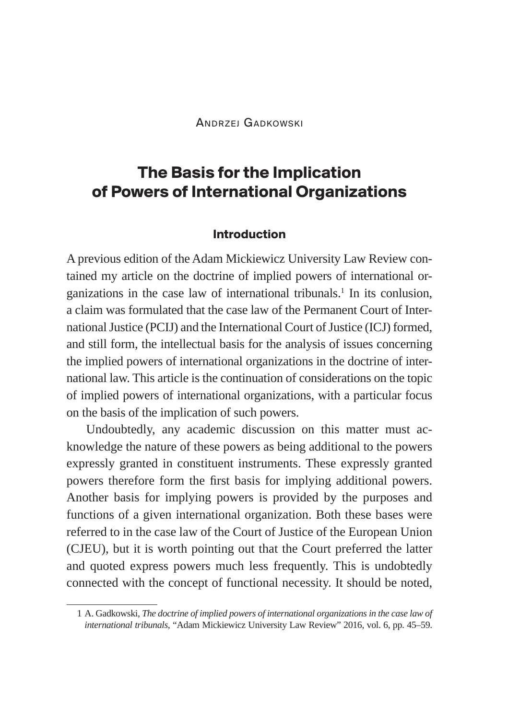Andrzej Gadkowski

# **The Basis for the Implication of Powers of International Organizations**

#### **Introduction**

A previous edition of the Adam Mickiewicz University Law Review contained my article on the doctrine of implied powers of international organizations in the case law of international tribunals.<sup>1</sup> In its conlusion, a claim was formulated that the case law of the Permanent Court of International Justice (PCIJ) and the International Court of Justice (ICJ) formed, and still form, the intellectual basis for the analysis of issues concerning the implied powers of international organizations in the doctrine of international law. This article is the continuation of considerations on the topic of implied powers of international organizations, with a particular focus on the basis of the implication of such powers.

Undoubtedly, any academic discussion on this matter must acknowledge the nature of these powers as being additional to the powers expressly granted in constituent instruments. These expressly granted powers therefore form the first basis for implying additional powers. Another basis for implying powers is provided by the purposes and functions of a given international organization. Both these bases were referred to in the case law of the Court of Justice of the European Union (CJEU), but it is worth pointing out that the Court preferred the latter and quoted express powers much less frequently. This is undobtedly connected with the concept of functional necessity. It should be noted,

<sup>1</sup> A. Gadkowski, *The doctrine of implied powers of international organizations in the case law of international tribunals*, "Adam Mickiewicz University Law Review" 2016, vol. 6, pp. 45–59.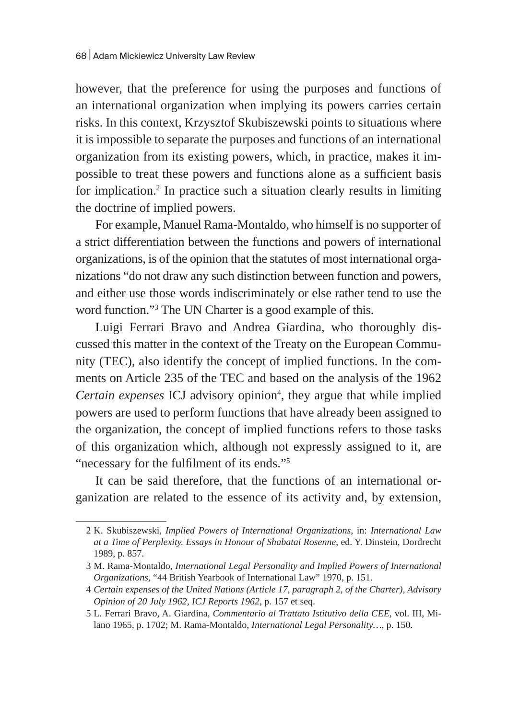however, that the preference for using the purposes and functions of an international organization when implying its powers carries certain risks. In this context, Krzysztof Skubiszewski points to situations where it is impossible to separate the purposes and functions of an international organization from its existing powers, which, in practice, makes it impossible to treat these powers and functions alone as a sufficient basis for implication.<sup>2</sup> In practice such a situation clearly results in limiting the doctrine of implied powers.

For example, Manuel Rama-Montaldo, who himself is no supporter of a strict differentiation between the functions and powers of international organizations, is of the opinion that the statutes of most international organizations "do not draw any such distinction between function and powers, and either use those words indiscriminately or else rather tend to use the word function."3 The UN Charter is a good example of this.

Luigi Ferrari Bravo and Andrea Giardina, who thoroughly discussed this matter in the context of the Treaty on the European Community (TEC), also identify the concept of implied functions. In the comments on Article 235 of the TEC and based on the analysis of the 1962 Certain expenses ICJ advisory opinion<sup>4</sup>, they argue that while implied powers are used to perform functions that have already been assigned to the organization, the concept of implied functions refers to those tasks of this organization which, although not expressly assigned to it, are "necessary for the fulfilment of its ends."<sup>5</sup>

It can be said therefore, that the functions of an international organization are related to the essence of its activity and, by extension,

<sup>2</sup> K. Skubiszewski, *Implied Powers of International Organizations*, in: *International Law at a Time of Perplexity. Essays in Honour of Shabatai Rosenne*, ed. Y. Dinstein, Dordrecht 1989, p. 857.

<sup>3</sup> M. Rama-Montaldo, *International Legal Personality and Implied Powers of International Organizations*, "44 British Yearbook of International Law" 1970, p. 151.

<sup>4</sup> *Certain expenses of the United Nations (Article 17, paragraph 2, of the Charter), Advisory Opinion of 20 July 1962, ICJ Reports 1962*, p. 157 et seq.

<sup>5</sup> L. Ferrari Bravo, A. Giardina, *Commentario al Trattato Istitutivo della CEE*, vol. III, Milano 1965, p. 1702; M. Rama-Montaldo, *International Legal Personality…*, p. 150.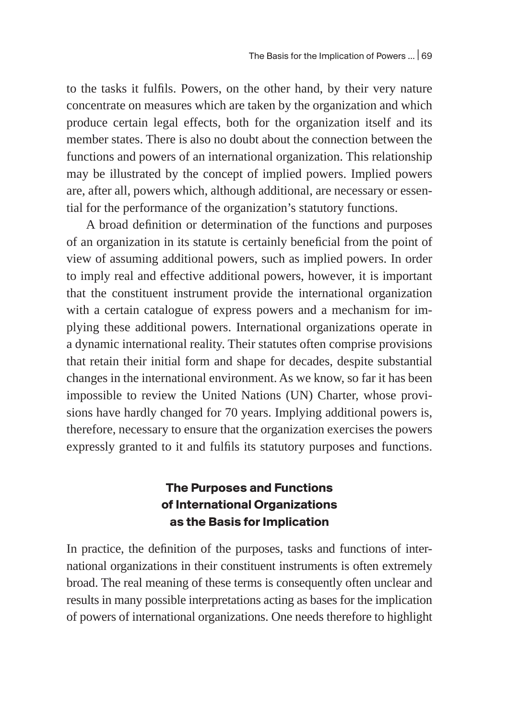to the tasks it fulfils. Powers, on the other hand, by their very nature concentrate on measures which are taken by the organization and which produce certain legal effects, both for the organization itself and its member states. There is also no doubt about the connection between the functions and powers of an international organization. This relationship may be illustrated by the concept of implied powers. Implied powers are, after all, powers which, although additional, are necessary or essential for the performance of the organization's statutory functions.

A broad definition or determination of the functions and purposes of an organization in its statute is certainly beneficial from the point of view of assuming additional powers, such as implied powers. In order to imply real and effective additional powers, however, it is important that the constituent instrument provide the international organization with a certain catalogue of express powers and a mechanism for implying these additional powers. International organizations operate in a dynamic international reality. Their statutes often comprise provisions that retain their initial form and shape for decades, despite substantial changes in the international environment. As we know, so far it has been impossible to review the United Nations (UN) Charter, whose provisions have hardly changed for 70 years. Implying additional powers is, therefore, necessary to ensure that the organization exercises the powers expressly granted to it and fulfils its statutory purposes and functions.

### **The Purposes and Functions of International Organizations as the Basis for Implication**

In practice, the definition of the purposes, tasks and functions of international organizations in their constituent instruments is often extremely broad. The real meaning of these terms is consequently often unclear and results in many possible interpretations acting as bases for the implication of powers of international organizations. One needs therefore to highlight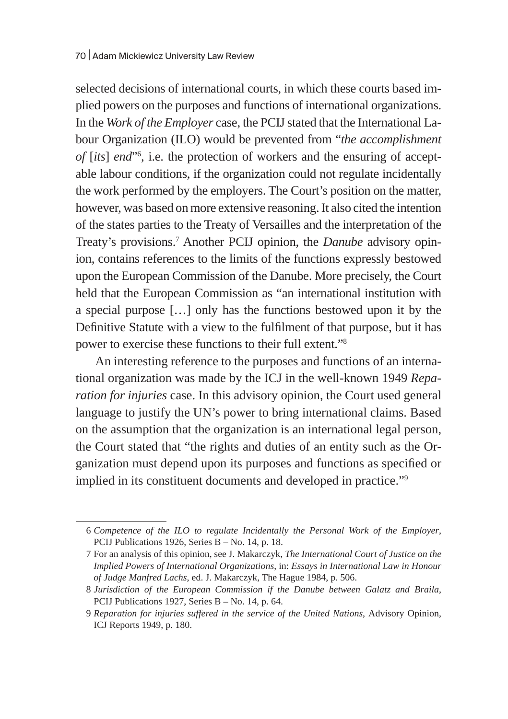selected decisions of international courts, in which these courts based implied powers on the purposes and functions of international organizations. In the *Work of the Employer* case, the PCIJ stated that the International Labour Organization (ILO) would be prevented from "*the accomplishment of* [*its*] *end*"6 , i.e. the protection of workers and the ensuring of acceptable labour conditions, if the organization could not regulate incidentally the work performed by the employers. The Court's position on the matter, however, was based on more extensive reasoning. It also cited the intention of the states parties to the Treaty of Versailles and the interpretation of the Treaty's provisions.7 Another PCIJ opinion, the *Danube* advisory opinion, contains references to the limits of the functions expressly bestowed upon the European Commission of the Danube. More precisely, the Court held that the European Commission as "an international institution with a special purpose […] only has the functions bestowed upon it by the Definitive Statute with a view to the fulfilment of that purpose, but it has power to exercise these functions to their full extent."8

An interesting reference to the purposes and functions of an international organization was made by the ICJ in the well-known 1949 *Reparation for injuries* case. In this advisory opinion, the Court used general language to justify the UN's power to bring international claims. Based on the assumption that the organization is an international legal person, the Court stated that "the rights and duties of an entity such as the Organization must depend upon its purposes and functions as specified or implied in its constituent documents and developed in practice."9

<sup>6</sup> *Competence of the ILO to regulate Incidentally the Personal Work of the Employer*, PCIJ Publications 1926, Series B – No. 14, p. 18.

<sup>7</sup> For an analysis of this opinion, see J. Makarczyk, *The International Court of Justice on the Implied Powers of International Organizations*, in: *Essays in International Law in Honour of Judge Manfred Lachs*, ed. J. Makarczyk, The Hague 1984, p. 506.

<sup>8</sup> *Jurisdiction of the European Commission if the Danube between Galatz and Braila*, PCIJ Publications 1927, Series B – No. 14, p. 64.

<sup>9</sup> *Reparation for injuries suffered in the service of the United Nations*, Advisory Opinion, ICJ Reports 1949, p. 180.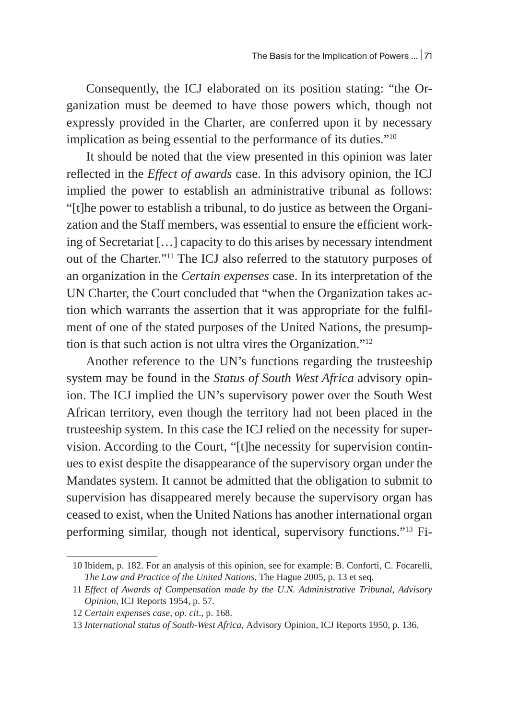Consequently, the ICJ elaborated on its position stating: "the Organization must be deemed to have those powers which, though not expressly provided in the Charter, are conferred upon it by necessary implication as being essential to the performance of its duties."10

It should be noted that the view presented in this opinion was later reflected in the *Effect of awards* case. In this advisory opinion, the ICJ implied the power to establish an administrative tribunal as follows: "[t]he power to establish a tribunal, to do justice as between the Organization and the Staff members, was essential to ensure the efficient working of Secretariat […] capacity to do this arises by necessary intendment out of the Charter."11 The ICJ also referred to the statutory purposes of an organization in the *Certain expenses* case. In its interpretation of the UN Charter, the Court concluded that "when the Organization takes action which warrants the assertion that it was appropriate for the fulfilment of one of the stated purposes of the United Nations, the presumption is that such action is not ultra vires the Organization."12

Another reference to the UN's functions regarding the trusteeship system may be found in the *Status of South West Africa* advisory opinion. The ICJ implied the UN's supervisory power over the South West African territory, even though the territory had not been placed in the trusteeship system. In this case the ICJ relied on the necessity for supervision. According to the Court, "[t]he necessity for supervision continues to exist despite the disappearance of the supervisory organ under the Mandates system. It cannot be admitted that the obligation to submit to supervision has disappeared merely because the supervisory organ has ceased to exist, when the United Nations has another international organ performing similar, though not identical, supervisory functions."13 Fi-

<sup>10</sup> Ibidem, p. 182. For an analysis of this opinion, see for example: B. Conforti, C. Focarelli, *The Law and Practice of the United Nations*, The Hague 2005, p. 13 et seq.

<sup>11</sup> *Effect of Awards of Compensation made by the U.N. Administrative Tribunal, Advisory Opinion*, ICJ Reports 1954, p. 57.

<sup>12</sup> *Certain expenses case*, *op. cit*., p. 168.

<sup>13</sup> *International status of South-West Africa*, Advisory Opinion, ICJ Reports 1950, p. 136.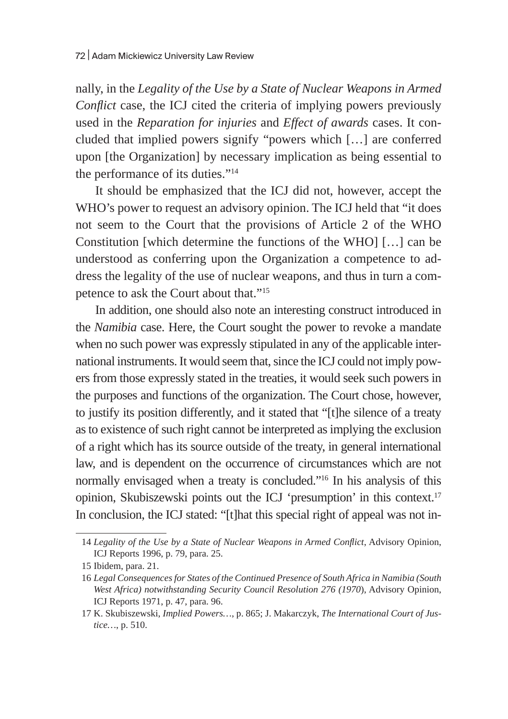nally, in the *Legality of the Use by a State of Nuclear Weapons in Armed Conflict* case, the ICJ cited the criteria of implying powers previously used in the *Reparation for injuries* and *Effect of awards* cases. It concluded that implied powers signify "powers which […] are conferred upon [the Organization] by necessary implication as being essential to the performance of its duties."14

It should be emphasized that the ICJ did not, however, accept the WHO's power to request an advisory opinion. The ICJ held that "it does not seem to the Court that the provisions of Article 2 of the WHO Constitution [which determine the functions of the WHO] […] can be understood as conferring upon the Organization a competence to address the legality of the use of nuclear weapons, and thus in turn a competence to ask the Court about that."15

In addition, one should also note an interesting construct introduced in the *Namibia* case. Here, the Court sought the power to revoke a mandate when no such power was expressly stipulated in any of the applicable international instruments. It would seem that, since the ICJ could not imply powers from those expressly stated in the treaties, it would seek such powers in the purposes and functions of the organization. The Court chose, however, to justify its position differently, and it stated that "[t]he silence of a treaty as to existence of such right cannot be interpreted as implying the exclusion of a right which has its source outside of the treaty, in general international law, and is dependent on the occurrence of circumstances which are not normally envisaged when a treaty is concluded."16 In his analysis of this opinion, Skubiszewski points out the ICJ 'presumption' in this context.17 In conclusion, the ICJ stated: "[t]hat this special right of appeal was not in-

<sup>14</sup> *Legality of the Use by a State of Nuclear Weapons in Armed Conflict*, Advisory Opinion, ICJ Reports 1996, p. 79, para. 25.

<sup>15</sup> Ibidem, para. 21.

<sup>16</sup> *Legal Consequences for States of the Continued Presence of South Africa in Namibia (South West Africa) notwithstanding Security Council Resolution 276 (1970*), Advisory Opinion, ICJ Reports 1971, p. 47, para. 96.

<sup>17</sup> K. Skubiszewski, *Implied Powers…*, p. 865; J. Makarczyk, *The International Court of Justice…*, p. 510.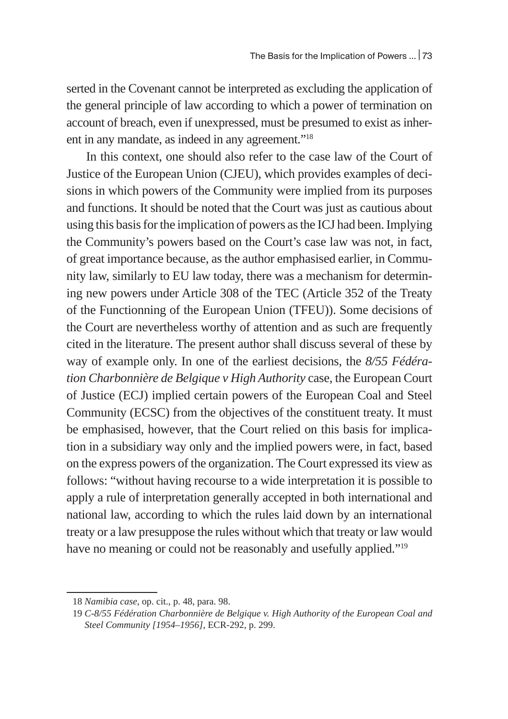serted in the Covenant cannot be interpreted as excluding the application of the general principle of law according to which a power of termination on account of breach, even if unexpressed, must be presumed to exist as inherent in any mandate, as indeed in any agreement."18

In this context, one should also refer to the case law of the Court of Justice of the European Union (CJEU), which provides examples of decisions in which powers of the Community were implied from its purposes and functions. It should be noted that the Court was just as cautious about using this basis for the implication of powers as the ICJ had been. Implying the Community's powers based on the Court's case law was not, in fact, of great importance because, as the author emphasised earlier, in Community law, similarly to EU law today, there was a mechanism for determining new powers under Article 308 of the TEC (Article 352 of the Treaty of the Functionning of the European Union (TFEU)). Some decisions of the Court are nevertheless worthy of attention and as such are frequently cited in the literature. The present author shall discuss several of these by way of example only. In one of the earliest decisions, the *8/55 Fédération Charbonnière de Belgique v High Authority* case, the European Court of Justice (ECJ) implied certain powers of the European Coal and Steel Community (ECSC) from the objectives of the constituent treaty. It must be emphasised, however, that the Court relied on this basis for implication in a subsidiary way only and the implied powers were, in fact, based on the express powers of the organization. The Court expressed its view as follows: "without having recourse to a wide interpretation it is possible to apply a rule of interpretation generally accepted in both international and national law, according to which the rules laid down by an international treaty or a law presuppose the rules without which that treaty or law would have no meaning or could not be reasonably and usefully applied."<sup>19</sup>

<sup>18</sup> *Namibia case*, op. cit., p. 48, para. 98.

<sup>19</sup> *C-8/55 Fédération Charbonnière de Belgique v. High Authority of the European Coal and Steel Community [1954–1956]*, ECR-292, p. 299.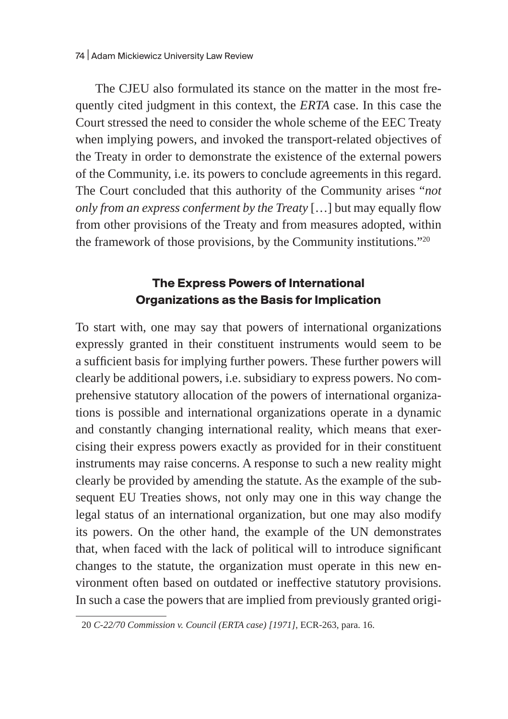The CJEU also formulated its stance on the matter in the most frequently cited judgment in this context, the *ERTA* case. In this case the Court stressed the need to consider the whole scheme of the EEC Treaty when implying powers, and invoked the transport-related objectives of the Treaty in order to demonstrate the existence of the external powers of the Community, i.e. its powers to conclude agreements in this regard. The Court concluded that this authority of the Community arises "*not only from an express conferment by the Treaty* […] but may equally flow from other provisions of the Treaty and from measures adopted, within the framework of those provisions, by the Community institutions."20

#### **The Express Powers of International Organizations as the Basis for Implication**

To start with, one may say that powers of international organizations expressly granted in their constituent instruments would seem to be a sufficient basis for implying further powers. These further powers will clearly be additional powers, i.e. subsidiary to express powers. No comprehensive statutory allocation of the powers of international organizations is possible and international organizations operate in a dynamic and constantly changing international reality, which means that exercising their express powers exactly as provided for in their constituent instruments may raise concerns. A response to such a new reality might clearly be provided by amending the statute. As the example of the subsequent EU Treaties shows, not only may one in this way change the legal status of an international organization, but one may also modify its powers. On the other hand, the example of the UN demonstrates that, when faced with the lack of political will to introduce significant changes to the statute, the organization must operate in this new environment often based on outdated or ineffective statutory provisions. In such a case the powers that are implied from previously granted origi-

<sup>20</sup> *C-22/70 Commission v. Council (ERTA case) [1971]*, ECR-263, para. 16.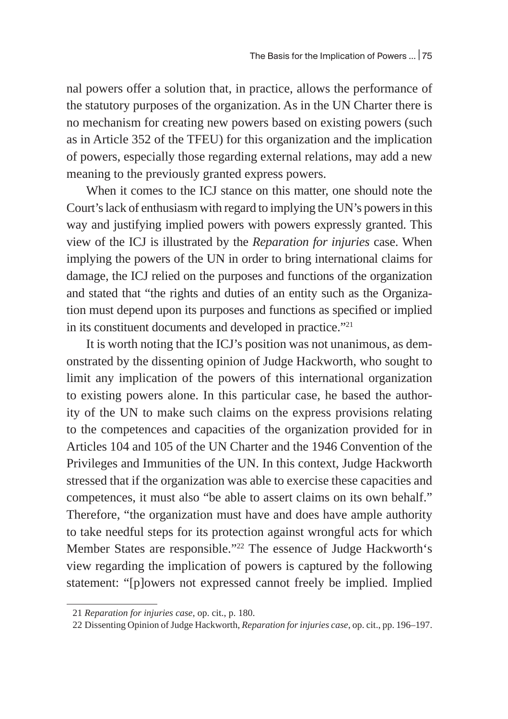nal powers offer a solution that, in practice, allows the performance of the statutory purposes of the organization. As in the UN Charter there is no mechanism for creating new powers based on existing powers (such as in Article 352 of the TFEU) for this organization and the implication of powers, especially those regarding external relations, may add a new meaning to the previously granted express powers.

When it comes to the ICJ stance on this matter, one should note the Court's lack of enthusiasm with regard to implying the UN's powers in this way and justifying implied powers with powers expressly granted. This view of the ICJ is illustrated by the *Reparation for injuries* case. When implying the powers of the UN in order to bring international claims for damage, the ICJ relied on the purposes and functions of the organization and stated that "the rights and duties of an entity such as the Organization must depend upon its purposes and functions as specified or implied in its constituent documents and developed in practice."<sup>21</sup>

It is worth noting that the ICJ's position was not unanimous, as demonstrated by the dissenting opinion of Judge Hackworth, who sought to limit any implication of the powers of this international organization to existing powers alone. In this particular case, he based the authority of the UN to make such claims on the express provisions relating to the competences and capacities of the organization provided for in Articles 104 and 105 of the UN Charter and the 1946 Convention of the Privileges and Immunities of the UN. In this context, Judge Hackworth stressed that if the organization was able to exercise these capacities and competences, it must also "be able to assert claims on its own behalf." Therefore, "the organization must have and does have ample authority to take needful steps for its protection against wrongful acts for which Member States are responsible."22 The essence of Judge Hackworth's view regarding the implication of powers is captured by the following statement: "[p]owers not expressed cannot freely be implied. Implied

<sup>21</sup> *Reparation for injuries case*, op. cit., p. 180.

<sup>22</sup> Dissenting Opinion of Judge Hackworth, *Reparation for injuries case*, op. cit., pp. 196–197.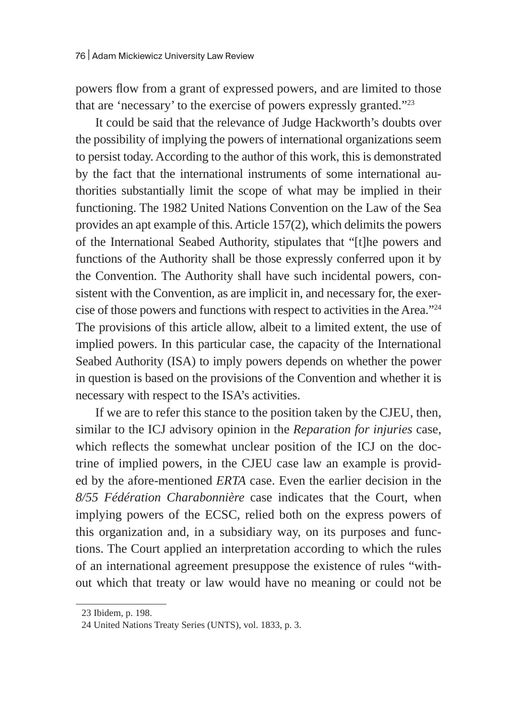powers flow from a grant of expressed powers, and are limited to those that are 'necessary' to the exercise of powers expressly granted."23

It could be said that the relevance of Judge Hackworth's doubts over the possibility of implying the powers of international organizations seem to persist today. According to the author of this work, this is demonstrated by the fact that the international instruments of some international authorities substantially limit the scope of what may be implied in their functioning. The 1982 United Nations Convention on the Law of the Sea provides an apt example of this. Article 157(2), which delimits the powers of the International Seabed Authority, stipulates that "[t]he powers and functions of the Authority shall be those expressly conferred upon it by the Convention. The Authority shall have such incidental powers, consistent with the Convention, as are implicit in, and necessary for, the exercise of those powers and functions with respect to activities in the Area."24 The provisions of this article allow, albeit to a limited extent, the use of implied powers. In this particular case, the capacity of the International Seabed Authority (ISA) to imply powers depends on whether the power in question is based on the provisions of the Convention and whether it is necessary with respect to the ISA's activities.

If we are to refer this stance to the position taken by the CJEU, then, similar to the ICJ advisory opinion in the *Reparation for injuries* case, which reflects the somewhat unclear position of the ICJ on the doctrine of implied powers, in the CJEU case law an example is provided by the afore-mentioned *ERTA* case. Even the earlier decision in the *8/55 Fédération Charabonnière* case indicates that the Court, when implying powers of the ECSC, relied both on the express powers of this organization and, in a subsidiary way, on its purposes and functions. The Court applied an interpretation according to which the rules of an international agreement presuppose the existence of rules "without which that treaty or law would have no meaning or could not be

<sup>23</sup> Ibidem, p. 198.

<sup>24</sup> United Nations Treaty Series (UNTS), vol. 1833, p. 3.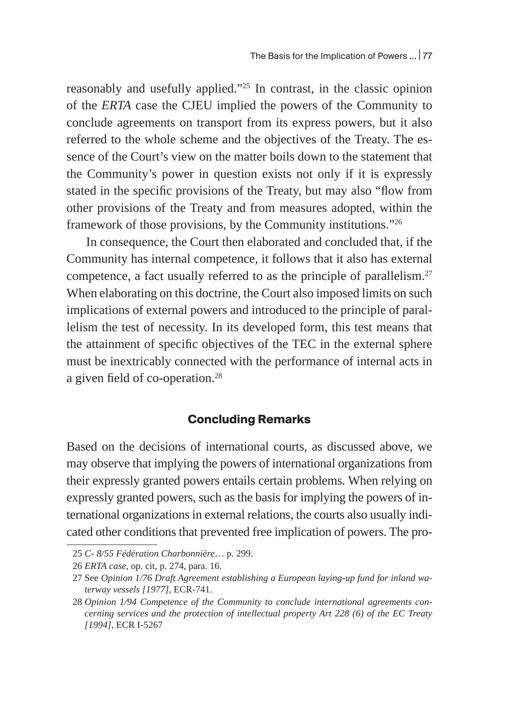reasonably and usefully applied."25 In contrast, in the classic opinion of the *ERTA* case the CJEU implied the powers of the Community to conclude agreements on transport from its express powers, but it also referred to the whole scheme and the objectives of the Treaty. The essence of the Court's view on the matter boils down to the statement that the Community's power in question exists not only if it is expressly stated in the specific provisions of the Treaty, but may also "flow from other provisions of the Treaty and from measures adopted, within the framework of those provisions, by the Community institutions."26

In consequence, the Court then elaborated and concluded that, if the Community has internal competence, it follows that it also has external competence, a fact usually referred to as the principle of parallelism.27 When elaborating on this doctrine, the Court also imposed limits on such implications of external powers and introduced to the principle of parallelism the test of necessity. In its developed form, this test means that the attainment of specific objectives of the TEC in the external sphere must be inextricably connected with the performance of internal acts in a given field of co-operation.<sup>28</sup>

### **Concluding Remarks**

Based on the decisions of international courts, as discussed above, we may observe that implying the powers of international organizations from their expressly granted powers entails certain problems. When relying on expressly granted powers, such as the basis for implying the powers of international organizations in external relations, the courts also usually indicated other conditions that prevented free implication of powers. The pro-

<sup>25</sup> *C- 8/55 Fédération Charbonnière*… p. 299.

<sup>26</sup> *ERTA case*, op. cit, p. 274, para. 16.

<sup>27</sup> See *Opinion 1/76 Draft Agreement establishing a European laying-up fund for inland waterway vessels [1977]*, ECR-741.

<sup>28</sup> *Opinion 1/94 Competence of the Community to conclude international agreements concerning services and the protection of intellectual property Art 228 (6) of the EC Treaty [1994]*, ECR I-5267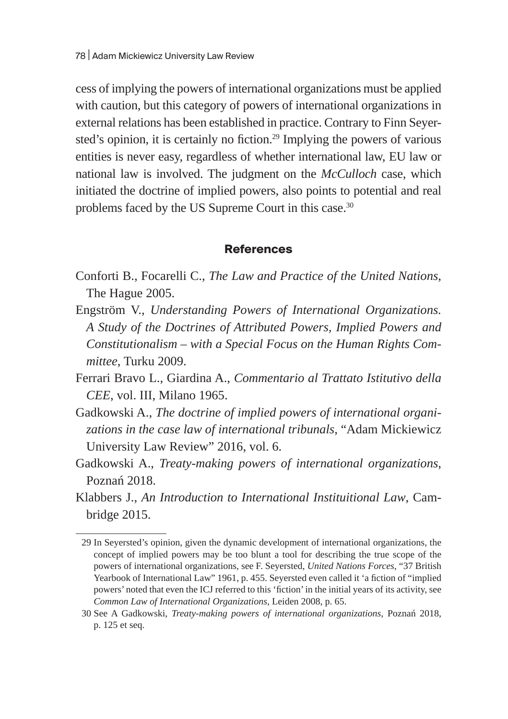cess of implying the powers of international organizations must be applied with caution, but this category of powers of international organizations in external relations has been established in practice. Contrary to Finn Seyersted's opinion, it is certainly no fiction.<sup>29</sup> Implying the powers of various entities is never easy, regardless of whether international law, EU law or national law is involved. The judgment on the *McCulloch* case, which initiated the doctrine of implied powers, also points to potential and real problems faced by the US Supreme Court in this case.<sup>30</sup>

#### **References**

- Conforti B., Focarelli C., *The Law and Practice of the United Nations*, The Hague 2005.
- Engström V., *Understanding Powers of International Organizations. A Study of the Doctrines of Attributed Powers, Implied Powers and Constitutionalism – with a Special Focus on the Human Rights Committee*, Turku 2009.
- Ferrari Bravo L., Giardina A., *Commentario al Trattato Istitutivo della CEE*, vol. III, Milano 1965.
- Gadkowski A., *The doctrine of implied powers of international organizations in the case law of international tribunals*, "Adam Mickiewicz University Law Review" 2016, vol. 6.
- Gadkowski A., *Treaty-making powers of international organizations*, Poznań 2018.
- Klabbers J., *An Introduction to International Instituitional Law*, Cambridge 2015.

<sup>29</sup> In Seyersted's opinion, given the dynamic development of international organizations, the concept of implied powers may be too blunt a tool for describing the true scope of the powers of international organizations, see F. Seyersted, *United Nations Forces*, "37 British Yearbook of International Law" 1961, p. 455. Seyersted even called it 'a fiction of "implied powers' noted that even the ICJ referred to this 'fiction' in the initial years of its activity, see *Common Law of International Organizations*, Leiden 2008, p. 65.

<sup>30</sup> See A Gadkowski, *Treaty-making powers of international organizations*, Poznań 2018, p. 125 et seq.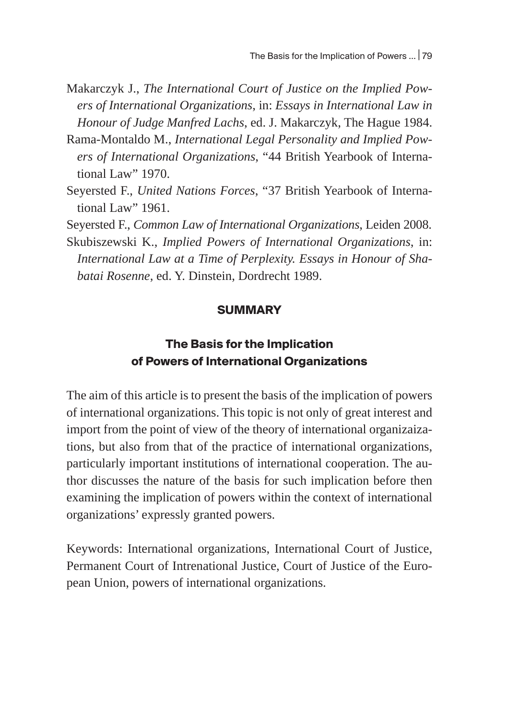- Makarczyk J., *The International Court of Justice on the Implied Powers of International Organizations*, in: *Essays in International Law in Honour of Judge Manfred Lachs*, ed. J. Makarczyk, The Hague 1984.
- Rama-Montaldo M., *International Legal Personality and Implied Powers of International Organizations*, "44 British Yearbook of International Law" 1970.
- Seyersted F., *United Nations Forces*, "37 British Yearbook of International Law" 1961.

Seyersted F., *Common Law of International Organizations*, Leiden 2008.

Skubiszewski K., *Implied Powers of International Organizations*, in: *International Law at a Time of Perplexity. Essays in Honour of Shabatai Rosenne*, ed. Y. Dinstein, Dordrecht 1989.

#### **SUMMARY**

## **The Basis for the Implication of Powers of International Organizations**

The aim of this article is to present the basis of the implication of powers of international organizations. This topic is not only of great interest and import from the point of view of the theory of international organizaizations, but also from that of the practice of international organizations, particularly important institutions of international cooperation. The author discusses the nature of the basis for such implication before then examining the implication of powers within the context of international organizations' expressly granted powers.

Keywords: International organizations, International Court of Justice, Permanent Court of Intrenational Justice, Court of Justice of the European Union, powers of international organizations.